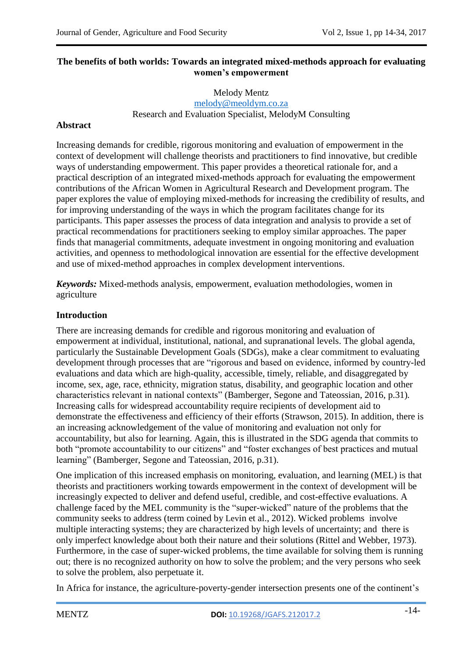# **The benefits of both worlds: Towards an integrated mixed-methods approach for evaluating women's empowerment**

### Melody Mentz [melody@meoldym.co.za](mailto:melody@meoldym.co.za) Research and Evaluation Specialist, MelodyM Consulting

# **Abstract**

Increasing demands for credible, rigorous monitoring and evaluation of empowerment in the context of development will challenge theorists and practitioners to find innovative, but credible ways of understanding empowerment. This paper provides a theoretical rationale for, and a practical description of an integrated mixed-methods approach for evaluating the empowerment contributions of the African Women in Agricultural Research and Development program. The paper explores the value of employing mixed-methods for increasing the credibility of results, and for improving understanding of the ways in which the program facilitates change for its participants. This paper assesses the process of data integration and analysis to provide a set of practical recommendations for practitioners seeking to employ similar approaches. The paper finds that managerial commitments, adequate investment in ongoing monitoring and evaluation activities, and openness to methodological innovation are essential for the effective development and use of mixed-method approaches in complex development interventions.

*Keywords:* Mixed-methods analysis, empowerment, evaluation methodologies, women in agriculture

# **Introduction**

There are increasing demands for credible and rigorous monitoring and evaluation of empowerment at individual, institutional, national, and supranational levels. The global agenda, particularly the Sustainable Development Goals (SDGs), make a clear commitment to evaluating development through processes that are "rigorous and based on evidence, informed by country-led evaluations and data which are high-quality, accessible, timely, reliable, and disaggregated by income, sex, age, race, ethnicity, migration status, disability, and geographic location and other characteristics relevant in national contexts" (Bamberger, Segone and Tateossian, 2016, p.31)*.* Increasing calls for widespread accountability require recipients of development aid to demonstrate the effectiveness and efficiency of their efforts (Strawson, 2015). In addition, there is an increasing acknowledgement of the value of monitoring and evaluation not only for accountability, but also for learning. Again, this is illustrated in the SDG agenda that commits to both "promote accountability to our citizens" and "foster exchanges of best practices and mutual learning" (Bamberger, Segone and Tateossian, 2016, p.31).

One implication of this increased emphasis on monitoring, evaluation, and learning (MEL) is that theorists and practitioners working towards empowerment in the context of development will be increasingly expected to deliver and defend useful, credible, and cost-effective evaluations. A challenge faced by the MEL community is the "super-wicked" nature of the problems that the community seeks to address (term coined by Levin et al., 2012). Wicked problems involve multiple interacting systems; they are characterized by high levels of uncertainty; and there is only imperfect knowledge about both their nature and their solutions (Rittel and Webber, 1973). Furthermore, in the case of super-wicked problems, the time available for solving them is running out; there is no recognized authority on how to solve the problem; and the very persons who seek to solve the problem, also perpetuate it.

In Africa for instance, the agriculture-poverty-gender intersection presents one of the continent's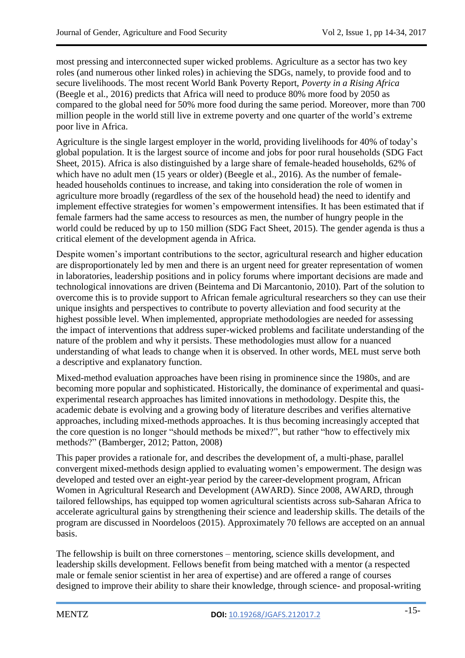most pressing and interconnected super wicked problems. Agriculture as a sector has two key roles (and numerous other linked roles) in achieving the SDGs, namely, to provide food and to secure livelihoods. The most recent World Bank Poverty Report, *Poverty in a Rising Africa* (Beegle et al., 2016) predicts that Africa will need to produce 80% more food by 2050 as compared to the global need for 50% more food during the same period. Moreover, more than 700 million people in the world still live in extreme poverty and one quarter of the world"s extreme poor live in Africa.

Agriculture is the single largest employer in the world, providing livelihoods for 40% of today"s global population. It is the largest source of income and jobs for poor rural households (SDG Fact Sheet, 2015). Africa is also distinguished by a large share of female-headed households, 62% of which have no adult men (15 years or older) (Beegle et al., 2016). As the number of femaleheaded households continues to increase, and taking into consideration the role of women in agriculture more broadly (regardless of the sex of the household head) the need to identify and implement effective strategies for women"s empowerment intensifies. It has been estimated that if female farmers had the same access to resources as men, the number of hungry people in the world could be reduced by up to 150 million (SDG Fact Sheet, 2015). The gender agenda is thus a critical element of the development agenda in Africa.

Despite women's important contributions to the sector, agricultural research and higher education are disproportionately led by men and there is an urgent need for greater representation of women in laboratories, leadership positions and in policy forums where important decisions are made and technological innovations are driven (Beintema and Di Marcantonio, 2010). Part of the solution to overcome this is to provide support to African female agricultural researchers so they can use their unique insights and perspectives to contribute to poverty alleviation and food security at the highest possible level. When implemented, appropriate methodologies are needed for assessing the impact of interventions that address super-wicked problems and facilitate understanding of the nature of the problem and why it persists. These methodologies must allow for a nuanced understanding of what leads to change when it is observed. In other words, MEL must serve both a descriptive and explanatory function.

Mixed-method evaluation approaches have been rising in prominence since the 1980s, and are becoming more popular and sophisticated. Historically, the dominance of experimental and quasiexperimental research approaches has limited innovations in methodology. Despite this, the academic debate is evolving and a growing body of literature describes and verifies alternative approaches, including mixed-methods approaches. It is thus becoming increasingly accepted that the core question is no longer "should methods be mixed?", but rather "how to effectively mix methods?" (Bamberger, 2012; Patton, 2008)

This paper provides a rationale for, and describes the development of, a multi-phase, parallel convergent mixed-methods design applied to evaluating women"s empowerment. The design was developed and tested over an eight-year period by the career-development program, African Women in Agricultural Research and Development (AWARD). Since 2008, AWARD, through tailored fellowships, has equipped top women agricultural scientists across sub-Saharan Africa to accelerate agricultural gains by strengthening their science and leadership skills. The details of the program are discussed in Noordeloos (2015). Approximately 70 fellows are accepted on an annual basis.

The fellowship is built on three cornerstones – mentoring, science skills development, and leadership skills development. Fellows benefit from being matched with a mentor (a respected male or female senior scientist in her area of expertise) and are offered a range of courses designed to improve their ability to share their knowledge, through science- and proposal-writing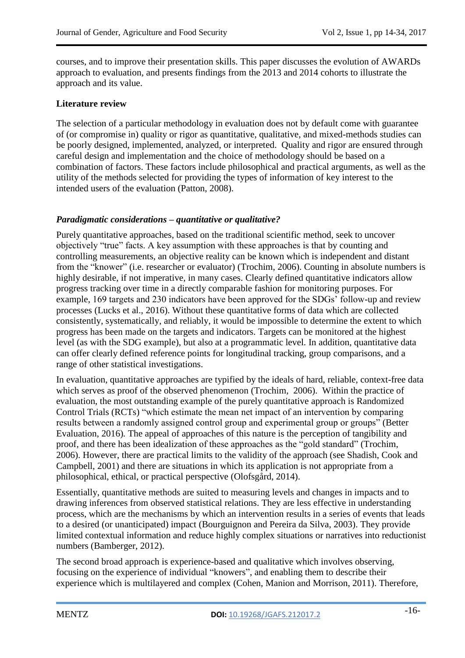courses, and to improve their presentation skills. This paper discusses the evolution of AWARDs approach to evaluation, and presents findings from the 2013 and 2014 cohorts to illustrate the approach and its value.

# **Literature review**

The selection of a particular methodology in evaluation does not by default come with guarantee of (or compromise in) quality or rigor as quantitative, qualitative, and mixed-methods studies can be poorly designed, implemented, analyzed, or interpreted. Quality and rigor are ensured through careful design and implementation and the choice of methodology should be based on a combination of factors. These factors include philosophical and practical arguments, as well as the utility of the methods selected for providing the types of information of key interest to the intended users of the evaluation (Patton, 2008).

# *Paradigmatic considerations – quantitative or qualitative?*

Purely quantitative approaches, based on the traditional scientific method, seek to uncover objectively "true" facts. A key assumption with these approaches is that by counting and controlling measurements, an objective reality can be known which is independent and distant from the "knower" (i.e. researcher or evaluator) (Trochim, 2006). Counting in absolute numbers is highly desirable, if not imperative, in many cases. Clearly defined quantitative indicators allow progress tracking over time in a directly comparable fashion for monitoring purposes. For example, 169 targets and 230 indicators have been approved for the SDGs' follow-up and review processes (Lucks et al., 2016). Without these quantitative forms of data which are collected consistently, systematically, and reliably, it would be impossible to determine the extent to which progress has been made on the targets and indicators. Targets can be monitored at the highest level (as with the SDG example), but also at a programmatic level. In addition, quantitative data can offer clearly defined reference points for longitudinal tracking, group comparisons, and a range of other statistical investigations.

In evaluation, quantitative approaches are typified by the ideals of hard, reliable, context-free data which serves as proof of the observed phenomenon (Trochim, 2006). Within the practice of evaluation, the most outstanding example of the purely quantitative approach is Randomized Control Trials (RCTs) "which estimate the mean net impact of an intervention by comparing results between a randomly assigned control group and experimental group or groups" (Better Evaluation, 2016)*.* The appeal of approaches of this nature is the perception of tangibility and proof, and there has been idealization of these approaches as the "gold standard" (Trochim, 2006). However, there are practical limits to the validity of the approach (see Shadish, Cook and Campbell, 2001) and there are situations in which its application is not appropriate from a philosophical, ethical, or practical perspective (Olofsgård, 2014).

Essentially, quantitative methods are suited to measuring levels and changes in impacts and to drawing inferences from observed statistical relations. They are less effective in understanding process, which are the mechanisms by which an intervention results in a series of events that leads to a desired (or unanticipated) impact (Bourguignon and Pereira da Silva, 2003). They provide limited contextual information and reduce highly complex situations or narratives into reductionist numbers (Bamberger, 2012).

The second broad approach is experience-based and qualitative which involves observing, focusing on the experience of individual "knowers", and enabling them to describe their experience which is multilayered and complex (Cohen, Manion and Morrison, 2011). Therefore,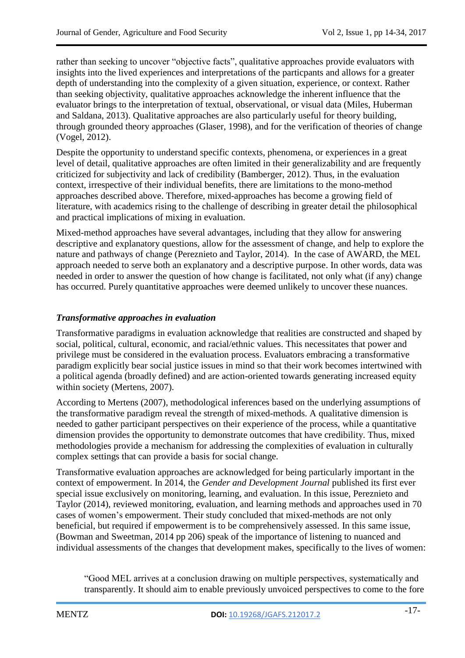rather than seeking to uncover "objective facts", qualitative approaches provide evaluators with insights into the lived experiences and interpretations of the particpants and allows for a greater depth of understanding into the complexity of a given situation, experience, or context. Rather than seeking objectivity, qualitative approaches acknowledge the inherent influence that the evaluator brings to the interpretation of textual, observational, or visual data (Miles, Huberman and Saldana, 2013). Qualitative approaches are also particularly useful for theory building, through grounded theory approaches (Glaser, 1998), and for the verification of theories of change (Vogel, 2012).

Despite the opportunity to understand specific contexts, phenomena, or experiences in a great level of detail, qualitative approaches are often limited in their generalizability and are frequently criticized for subjectivity and lack of credibility (Bamberger, 2012). Thus, in the evaluation context, irrespective of their individual benefits, there are limitations to the mono-method approaches described above. Therefore, mixed-approaches has become a growing field of literature, with academics rising to the challenge of describing in greater detail the philosophical and practical implications of mixing in evaluation.

Mixed-method approaches have several advantages, including that they allow for answering descriptive and explanatory questions, allow for the assessment of change, and help to explore the nature and pathways of change (Pereznieto and Taylor, 2014). In the case of AWARD, the MEL approach needed to serve both an explanatory and a descriptive purpose. In other words, data was needed in order to answer the question of how change is facilitated, not only what (if any) change has occurred. Purely quantitative approaches were deemed unlikely to uncover these nuances.

# *Transformative approaches in evaluation*

Transformative paradigms in evaluation acknowledge that realities are constructed and shaped by social, political, cultural, economic, and racial/ethnic values. This necessitates that power and privilege must be considered in the evaluation process. Evaluators embracing a transformative paradigm explicitly bear social justice issues in mind so that their work becomes intertwined with a political agenda (broadly defined) and are action-oriented towards generating increased equity within society (Mertens, 2007).

According to Mertens (2007), methodological inferences based on the underlying assumptions of the transformative paradigm reveal the strength of mixed-methods. A qualitative dimension is needed to gather participant perspectives on their experience of the process, while a quantitative dimension provides the opportunity to demonstrate outcomes that have credibility. Thus, mixed methodologies provide a mechanism for addressing the complexities of evaluation in culturally complex settings that can provide a basis for social change.

Transformative evaluation approaches are acknowledged for being particularly important in the context of empowerment. In 2014, the *Gender and Development Journal* published its first ever special issue exclusively on monitoring, learning, and evaluation. In this issue, Pereznieto and Taylor (2014), reviewed monitoring, evaluation, and learning methods and approaches used in 70 cases of women"s empowerment. Their study concluded that mixed-methods are not only beneficial, but required if empowerment is to be comprehensively assessed. In this same issue, (Bowman and Sweetman, 2014 pp 206) speak of the importance of listening to nuanced and individual assessments of the changes that development makes, specifically to the lives of women:

"Good MEL arrives at a conclusion drawing on multiple perspectives, systematically and transparently. It should aim to enable previously unvoiced perspectives to come to the fore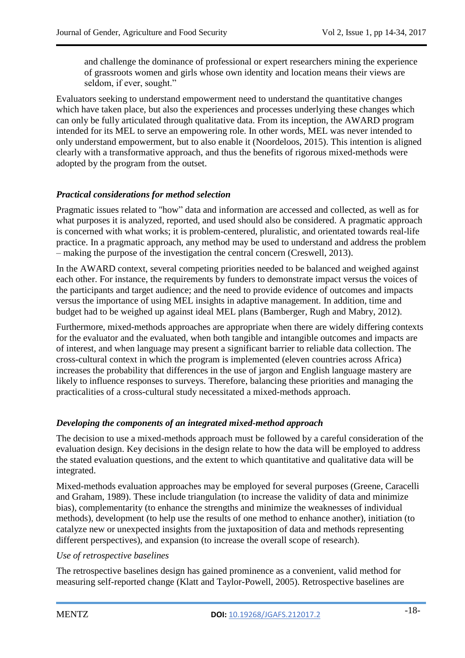and challenge the dominance of professional or expert researchers mining the experience of grassroots women and girls whose own identity and location means their views are seldom, if ever, sought."

Evaluators seeking to understand empowerment need to understand the quantitative changes which have taken place, but also the experiences and processes underlying these changes which can only be fully articulated through qualitative data. From its inception, the AWARD program intended for its MEL to serve an empowering role. In other words, MEL was never intended to only understand empowerment, but to also enable it (Noordeloos, 2015). This intention is aligned clearly with a transformative approach, and thus the benefits of rigorous mixed-methods were adopted by the program from the outset.

# *Practical considerations for method selection*

Pragmatic issues related to "how" data and information are accessed and collected, as well as for what purposes it is analyzed, reported, and used should also be considered. A pragmatic approach is concerned with what works; it is problem-centered, pluralistic, and orientated towards real-life practice. In a pragmatic approach, any method may be used to understand and address the problem – making the purpose of the investigation the central concern (Creswell, 2013).

In the AWARD context, several competing priorities needed to be balanced and weighed against each other. For instance, the requirements by funders to demonstrate impact versus the voices of the participants and target audience; and the need to provide evidence of outcomes and impacts versus the importance of using MEL insights in adaptive management. In addition, time and budget had to be weighed up against ideal MEL plans (Bamberger, Rugh and Mabry, 2012).

Furthermore, mixed-methods approaches are appropriate when there are widely differing contexts for the evaluator and the evaluated, when both tangible and intangible outcomes and impacts are of interest, and when language may present a significant barrier to reliable data collection. The cross-cultural context in which the program is implemented (eleven countries across Africa) increases the probability that differences in the use of jargon and English language mastery are likely to influence responses to surveys. Therefore, balancing these priorities and managing the practicalities of a cross-cultural study necessitated a mixed-methods approach.

# *Developing the components of an integrated mixed-method approach*

The decision to use a mixed-methods approach must be followed by a careful consideration of the evaluation design. Key decisions in the design relate to how the data will be employed to address the stated evaluation questions, and the extent to which quantitative and qualitative data will be integrated.

Mixed-methods evaluation approaches may be employed for several purposes (Greene, Caracelli and Graham, 1989). These include triangulation (to increase the validity of data and minimize bias), complementarity (to enhance the strengths and minimize the weaknesses of individual methods), development (to help use the results of one method to enhance another), initiation (to catalyze new or unexpected insights from the juxtaposition of data and methods representing different perspectives), and expansion (to increase the overall scope of research).

# *Use of retrospective baselines*

The retrospective baselines design has gained prominence as a convenient, valid method for measuring self-reported change (Klatt and Taylor-Powell, 2005). Retrospective baselines are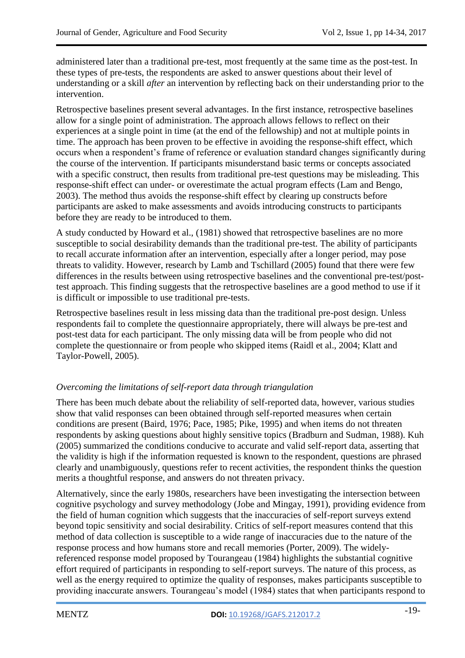administered later than a traditional pre-test, most frequently at the same time as the post-test. In these types of pre-tests, the respondents are asked to answer questions about their level of understanding or a skill *after* an intervention by reflecting back on their understanding prior to the intervention.

Retrospective baselines present several advantages. In the first instance, retrospective baselines allow for a single point of administration. The approach allows fellows to reflect on their experiences at a single point in time (at the end of the fellowship) and not at multiple points in time. The approach has been proven to be effective in avoiding the response-shift effect, which occurs when a respondent"s frame of reference or evaluation standard changes significantly during the course of the intervention. If participants misunderstand basic terms or concepts associated with a specific construct, then results from traditional pre-test questions may be misleading. This response-shift effect can under- or overestimate the actual program effects (Lam and Bengo, 2003). The method thus avoids the response-shift effect by clearing up constructs before participants are asked to make assessments and avoids introducing constructs to participants before they are ready to be introduced to them.

A study conducted by Howard et al., (1981) showed that retrospective baselines are no more susceptible to social desirability demands than the traditional pre-test. The ability of participants to recall accurate information after an intervention, especially after a longer period, may pose threats to validity. However, research by Lamb and Tschillard (2005) found that there were few differences in the results between using retrospective baselines and the conventional pre-test/posttest approach. This finding suggests that the retrospective baselines are a good method to use if it is difficult or impossible to use traditional pre-tests.

Retrospective baselines result in less missing data than the traditional pre-post design. Unless respondents fail to complete the questionnaire appropriately, there will always be pre-test and post-test data for each participant. The only missing data will be from people who did not complete the questionnaire or from people who skipped items (Raidl et al., 2004; Klatt and Taylor-Powell, 2005).

# *Overcoming the limitations of self-report data through triangulation*

There has been much debate about the reliability of self-reported data, however, various studies show that valid responses can been obtained through self-reported measures when certain conditions are present (Baird, 1976; Pace, 1985; Pike, 1995) and when items do not threaten respondents by asking questions about highly sensitive topics (Bradburn and Sudman, 1988). Kuh (2005) summarized the conditions conducive to accurate and valid self-report data, asserting that the validity is high if the information requested is known to the respondent, questions are phrased clearly and unambiguously, questions refer to recent activities, the respondent thinks the question merits a thoughtful response, and answers do not threaten privacy.

Alternatively, since the early 1980s, researchers have been investigating the intersection between cognitive psychology and survey methodology (Jobe and Mingay, 1991), providing evidence from the field of human cognition which suggests that the inaccuracies of self-report surveys extend beyond topic sensitivity and social desirability. Critics of self-report measures contend that this method of data collection is susceptible to a wide range of inaccuracies due to the nature of the response process and how humans store and recall memories (Porter, 2009). The widelyreferenced response model proposed by Tourangeau (1984) highlights the substantial cognitive effort required of participants in responding to self-report surveys. The nature of this process, as well as the energy required to optimize the quality of responses, makes participants susceptible to providing inaccurate answers. Tourangeau"s model (1984) states that when participants respond to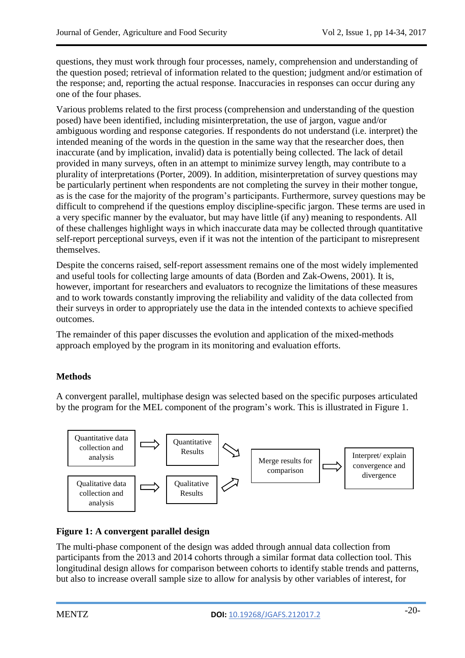questions, they must work through four processes, namely, comprehension and understanding of the question posed; retrieval of information related to the question; judgment and/or estimation of the response; and, reporting the actual response. Inaccuracies in responses can occur during any one of the four phases.

Various problems related to the first process (comprehension and understanding of the question posed) have been identified, including misinterpretation, the use of jargon, vague and/or ambiguous wording and response categories. If respondents do not understand (i.e. interpret) the intended meaning of the words in the question in the same way that the researcher does, then inaccurate (and by implication, invalid) data is potentially being collected. The lack of detail provided in many surveys, often in an attempt to minimize survey length, may contribute to a plurality of interpretations (Porter, 2009). In addition, misinterpretation of survey questions may be particularly pertinent when respondents are not completing the survey in their mother tongue, as is the case for the majority of the program"s participants. Furthermore, survey questions may be difficult to comprehend if the questions employ discipline-specific jargon. These terms are used in a very specific manner by the evaluator, but may have little (if any) meaning to respondents. All of these challenges highlight ways in which inaccurate data may be collected through quantitative self-report perceptional surveys, even if it was not the intention of the participant to misrepresent themselves.

Despite the concerns raised, self-report assessment remains one of the most widely implemented and useful tools for collecting large amounts of data (Borden and Zak-Owens, 2001). It is, however, important for researchers and evaluators to recognize the limitations of these measures and to work towards constantly improving the reliability and validity of the data collected from their surveys in order to appropriately use the data in the intended contexts to achieve specified outcomes.

The remainder of this paper discusses the evolution and application of the mixed-methods approach employed by the program in its monitoring and evaluation efforts.

# **Methods**

A convergent parallel, multiphase design was selected based on the specific purposes articulated by the program for the MEL component of the program"s work. This is illustrated in Figure 1.



# **Figure 1: A convergent parallel design**

The multi-phase component of the design was added through annual data collection from participants from the 2013 and 2014 cohorts through a similar format data collection tool. This longitudinal design allows for comparison between cohorts to identify stable trends and patterns, but also to increase overall sample size to allow for analysis by other variables of interest, for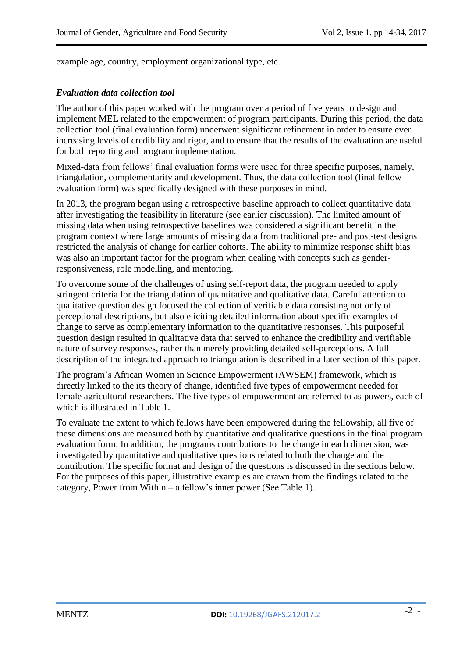example age, country, employment organizational type, etc.

#### *Evaluation data collection tool*

The author of this paper worked with the program over a period of five years to design and implement MEL related to the empowerment of program participants. During this period, the data collection tool (final evaluation form) underwent significant refinement in order to ensure ever increasing levels of credibility and rigor, and to ensure that the results of the evaluation are useful for both reporting and program implementation.

Mixed-data from fellows" final evaluation forms were used for three specific purposes, namely, triangulation, complementarity and development. Thus, the data collection tool (final fellow evaluation form) was specifically designed with these purposes in mind.

In 2013, the program began using a retrospective baseline approach to collect quantitative data after investigating the feasibility in literature (see earlier discussion). The limited amount of missing data when using retrospective baselines was considered a significant benefit in the program context where large amounts of missing data from traditional pre- and post-test designs restricted the analysis of change for earlier cohorts. The ability to minimize response shift bias was also an important factor for the program when dealing with concepts such as genderresponsiveness, role modelling, and mentoring.

To overcome some of the challenges of using self-report data, the program needed to apply stringent criteria for the triangulation of quantitative and qualitative data. Careful attention to qualitative question design focused the collection of verifiable data consisting not only of perceptional descriptions, but also eliciting detailed information about specific examples of change to serve as complementary information to the quantitative responses. This purposeful question design resulted in qualitative data that served to enhance the credibility and verifiable nature of survey responses, rather than merely providing detailed self-perceptions. A full description of the integrated approach to triangulation is described in a later section of this paper.

The program"s African Women in Science Empowerment (AWSEM) framework, which is directly linked to the its theory of change, identified five types of empowerment needed for female agricultural researchers. The five types of empowerment are referred to as powers, each of which is illustrated in Table 1.

To evaluate the extent to which fellows have been empowered during the fellowship, all five of these dimensions are measured both by quantitative and qualitative questions in the final program evaluation form. In addition, the programs contributions to the change in each dimension, was investigated by quantitative and qualitative questions related to both the change and the contribution. The specific format and design of the questions is discussed in the sections below. For the purposes of this paper, illustrative examples are drawn from the findings related to the category, Power from Within – a fellow"s inner power (See Table 1).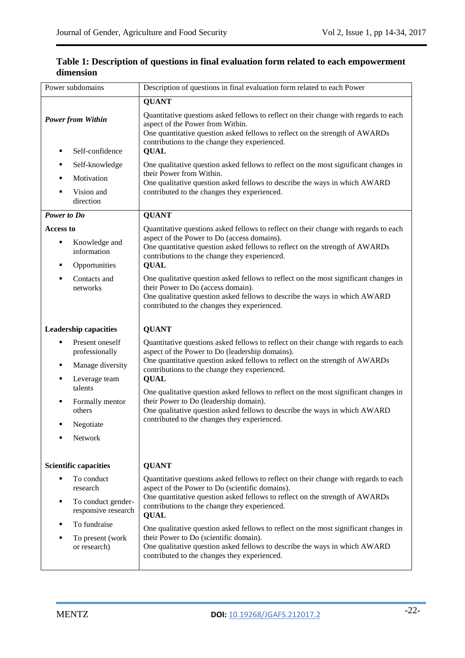| Power subdomains                                                                                                                            | Description of questions in final evaluation form related to each Power                                                                                                                                                                                                                                                                                                                                                                                                                                                                                 |  |  |  |  |  |
|---------------------------------------------------------------------------------------------------------------------------------------------|---------------------------------------------------------------------------------------------------------------------------------------------------------------------------------------------------------------------------------------------------------------------------------------------------------------------------------------------------------------------------------------------------------------------------------------------------------------------------------------------------------------------------------------------------------|--|--|--|--|--|
|                                                                                                                                             | <b>QUANT</b>                                                                                                                                                                                                                                                                                                                                                                                                                                                                                                                                            |  |  |  |  |  |
| <b>Power from Within</b><br>Self-confidence<br>٠                                                                                            | Quantitative questions asked fellows to reflect on their change with regards to each<br>aspect of the Power from Within.<br>One quantitative question asked fellows to reflect on the strength of AWARDs<br>contributions to the change they experienced.<br><b>QUAL</b>                                                                                                                                                                                                                                                                                |  |  |  |  |  |
| Self-knowledge<br>٠<br>Motivation<br>٠<br>Vision and<br>٠<br>direction                                                                      | One qualitative question asked fellows to reflect on the most significant changes in<br>their Power from Within.<br>One qualitative question asked fellows to describe the ways in which AWARD<br>contributed to the changes they experienced.                                                                                                                                                                                                                                                                                                          |  |  |  |  |  |
| Power to Do                                                                                                                                 | <b>QUANT</b>                                                                                                                                                                                                                                                                                                                                                                                                                                                                                                                                            |  |  |  |  |  |
| <b>Access to</b><br>Knowledge and<br>٠<br>information<br>Opportunities<br>٠                                                                 | Quantitative questions asked fellows to reflect on their change with regards to each<br>aspect of the Power to Do (access domains).<br>One quantitative question asked fellows to reflect on the strength of AWARDs<br>contributions to the change they experienced.<br><b>QUAL</b>                                                                                                                                                                                                                                                                     |  |  |  |  |  |
| Contacts and<br>п<br>networks                                                                                                               | One qualitative question asked fellows to reflect on the most significant changes in<br>their Power to Do (access domain).<br>One qualitative question asked fellows to describe the ways in which AWARD<br>contributed to the changes they experienced.                                                                                                                                                                                                                                                                                                |  |  |  |  |  |
| <b>Leadership capacities</b>                                                                                                                | <b>QUANT</b>                                                                                                                                                                                                                                                                                                                                                                                                                                                                                                                                            |  |  |  |  |  |
| Present oneself<br>٠<br>professionally<br>Manage diversity<br>٠<br>Leverage team<br>٠                                                       | Quantitative questions asked fellows to reflect on their change with regards to each<br>aspect of the Power to Do (leadership domains).<br>One quantitative question asked fellows to reflect on the strength of AWARDs<br>contributions to the change they experienced.<br><b>QUAL</b>                                                                                                                                                                                                                                                                 |  |  |  |  |  |
| talents<br>Formally mentor<br>٠<br>others<br>Negotiate<br>٠<br>Network                                                                      | One qualitative question asked fellows to reflect on the most significant changes in<br>their Power to Do (leadership domain).<br>One qualitative question asked fellows to describe the ways in which AWARD<br>contributed to the changes they experienced.                                                                                                                                                                                                                                                                                            |  |  |  |  |  |
| <b>Scientific capacities</b>                                                                                                                | <b>QUANT</b>                                                                                                                                                                                                                                                                                                                                                                                                                                                                                                                                            |  |  |  |  |  |
| To conduct<br>٠<br>research<br>To conduct gender-<br>٠<br>responsive research<br>To fundraise<br>٠<br>To present (work<br>٠<br>or research) | Quantitative questions asked fellows to reflect on their change with regards to each<br>aspect of the Power to Do (scientific domains).<br>One quantitative question asked fellows to reflect on the strength of AWARDs<br>contributions to the change they experienced.<br><b>QUAL</b><br>One qualitative question asked fellows to reflect on the most significant changes in<br>their Power to Do (scientific domain).<br>One qualitative question asked fellows to describe the ways in which AWARD<br>contributed to the changes they experienced. |  |  |  |  |  |

# **Table 1: Description of questions in final evaluation form related to each empowerment dimension**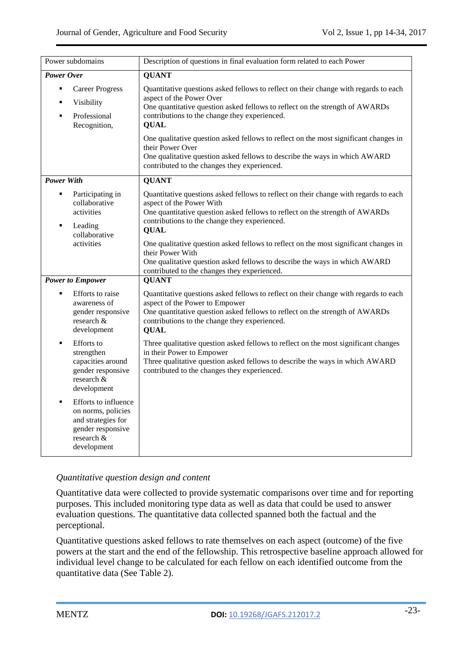| Power subdomains                                                                                                                     | Description of questions in final evaluation form related to each Power                                                                                                                                                                                                |  |  |  |  |  |
|--------------------------------------------------------------------------------------------------------------------------------------|------------------------------------------------------------------------------------------------------------------------------------------------------------------------------------------------------------------------------------------------------------------------|--|--|--|--|--|
| <b>Power Over</b>                                                                                                                    | <b>QUANT</b>                                                                                                                                                                                                                                                           |  |  |  |  |  |
| <b>Career Progress</b><br>Ξ<br>Visibility<br>$\blacksquare$<br>Professional<br>٠<br>Recognition,                                     | Quantitative questions asked fellows to reflect on their change with regards to each<br>aspect of the Power Over<br>One quantitative question asked fellows to reflect on the strength of AWARDs<br>contributions to the change they experienced.<br><b>QUAL</b>       |  |  |  |  |  |
|                                                                                                                                      | One qualitative question asked fellows to reflect on the most significant changes in<br>their Power Over<br>One qualitative question asked fellows to describe the ways in which AWARD<br>contributed to the changes they experienced.                                 |  |  |  |  |  |
| <b>Power With</b>                                                                                                                    | <b>QUANT</b>                                                                                                                                                                                                                                                           |  |  |  |  |  |
| Participating in<br>Ξ<br>collaborative<br>activities<br>Leading<br>٠<br>collaborative                                                | Quantitative questions asked fellows to reflect on their change with regards to each<br>aspect of the Power With<br>One quantitative question asked fellows to reflect on the strength of AWARDs<br>contributions to the change they experienced.<br><b>QUAL</b>       |  |  |  |  |  |
| activities                                                                                                                           | One qualitative question asked fellows to reflect on the most significant changes in<br>their Power With<br>One qualitative question asked fellows to describe the ways in which AWARD<br>contributed to the changes they experienced.                                 |  |  |  |  |  |
| <b>Power to Empower</b>                                                                                                              | <b>QUANT</b>                                                                                                                                                                                                                                                           |  |  |  |  |  |
| <b>Efforts</b> to raise<br>$\blacksquare$<br>awareness of<br>gender responsive<br>research &<br>development                          | Quantitative questions asked fellows to reflect on their change with regards to each<br>aspect of the Power to Empower<br>One quantitative question asked fellows to reflect on the strength of AWARDs<br>contributions to the change they experienced.<br><b>QUAL</b> |  |  |  |  |  |
| <b>Efforts</b> to<br>$\blacksquare$<br>strengthen<br>capacities around<br>gender responsive<br>research &<br>development             | Three qualitative question asked fellows to reflect on the most significant changes<br>in their Power to Empower<br>Three qualitative question asked fellows to describe the ways in which AWARD<br>contributed to the changes they experienced.                       |  |  |  |  |  |
| Efforts to influence<br>$\blacksquare$<br>on norms, policies<br>and strategies for<br>gender responsive<br>research &<br>development |                                                                                                                                                                                                                                                                        |  |  |  |  |  |

# *Quantitative question design and content*

Quantitative data were collected to provide systematic comparisons over time and for reporting purposes. This included monitoring type data as well as data that could be used to answer evaluation questions. The quantitative data collected spanned both the factual and the perceptional.

Quantitative questions asked fellows to rate themselves on each aspect (outcome) of the five powers at the start and the end of the fellowship. This retrospective baseline approach allowed for individual level change to be calculated for each fellow on each identified outcome from the quantitative data (See Table 2).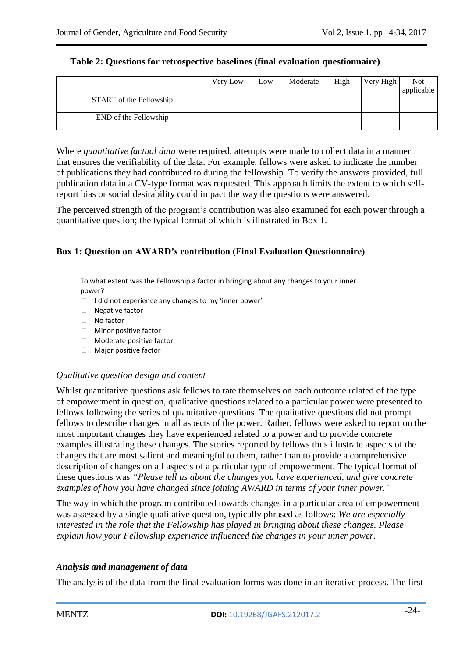|                         | Very Low | Low | Moderate | High | Very High | <b>Not</b> |
|-------------------------|----------|-----|----------|------|-----------|------------|
|                         |          |     |          |      |           | applicable |
| START of the Fellowship |          |     |          |      |           |            |
| END of the Fellowship   |          |     |          |      |           |            |

### **Table 2: Questions for retrospective baselines (final evaluation questionnaire)**

Where *quantitative factual data* were required, attempts were made to collect data in a manner that ensures the verifiability of the data. For example, fellows were asked to indicate the number of publications they had contributed to during the fellowship. To verify the answers provided, full publication data in a CV-type format was requested. This approach limits the extent to which selfreport bias or social desirability could impact the way the questions were answered.

The perceived strength of the program"s contribution was also examined for each power through a quantitative question; the typical format of which is illustrated in Box 1.

# **Box 1: Question on AWARD's contribution (Final Evaluation Questionnaire)**

To what extent was the Fellowship a factor in bringing about any changes to your inner power?

- $\Box$  I did not experience any changes to my 'inner power'
- Negative factor
- No factor
- **Minor positive factor**
- □ Moderate positive factor
- Major positive factor

#### *Qualitative question design and content*

Whilst quantitative questions ask fellows to rate themselves on each outcome related of the type of empowerment in question, qualitative questions related to a particular power were presented to fellows following the series of quantitative questions. The qualitative questions did not prompt fellows to describe changes in all aspects of the power. Rather, fellows were asked to report on the most important changes they have experienced related to a power and to provide concrete examples illustrating these changes. The stories reported by fellows thus illustrate aspects of the changes that are most salient and meaningful to them, rather than to provide a comprehensive description of changes on all aspects of a particular type of empowerment. The typical format of these questions was *"Please tell us about the changes you have experienced, and give concrete examples of how you have changed since joining AWARD in terms of your inner power."*

The way in which the program contributed towards changes in a particular area of empowerment was assessed by a single qualitative question, typically phrased as follows: *We are especially interested in the role that the Fellowship has played in bringing about these changes. Please explain how your Fellowship experience influenced the changes in your inner power.*

#### *Analysis and management of data*

The analysis of the data from the final evaluation forms was done in an iterative process. The first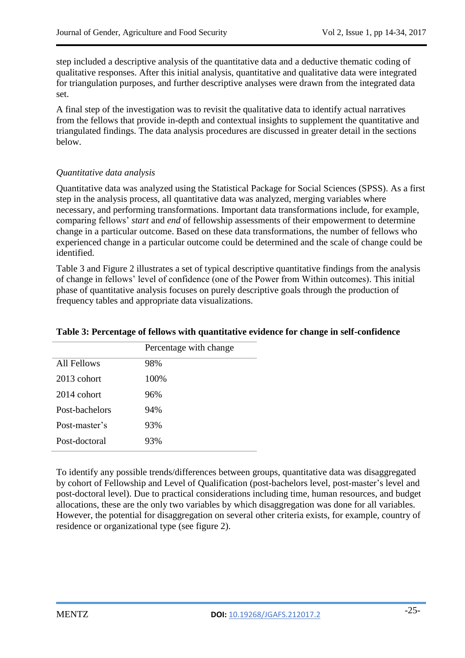step included a descriptive analysis of the quantitative data and a deductive thematic coding of qualitative responses. After this initial analysis, quantitative and qualitative data were integrated for triangulation purposes, and further descriptive analyses were drawn from the integrated data set.

A final step of the investigation was to revisit the qualitative data to identify actual narratives from the fellows that provide in-depth and contextual insights to supplement the quantitative and triangulated findings. The data analysis procedures are discussed in greater detail in the sections below.

# *Quantitative data analysis*

Quantitative data was analyzed using the Statistical Package for Social Sciences (SPSS). As a first step in the analysis process, all quantitative data was analyzed, merging variables where necessary, and performing transformations. Important data transformations include, for example, comparing fellows" *start* and *end* of fellowship assessments of their empowerment to determine change in a particular outcome. Based on these data transformations, the number of fellows who experienced change in a particular outcome could be determined and the scale of change could be identified.

Table 3 and Figure 2 illustrates a set of typical descriptive quantitative findings from the analysis of change in fellows" level of confidence (one of the Power from Within outcomes). This initial phase of quantitative analysis focuses on purely descriptive goals through the production of frequency tables and appropriate data visualizations.

|                | Percentage with change |
|----------------|------------------------|
| All Fellows    | 98%                    |
| $2013$ cohort  | 100%                   |
| $2014$ cohort  | 96%                    |
| Post-bachelors | 94%                    |
| Post-master's  | 93%                    |
| Post-doctoral  | 93%                    |
|                |                        |

# **Table 3: Percentage of fellows with quantitative evidence for change in self-confidence**

To identify any possible trends/differences between groups, quantitative data was disaggregated by cohort of Fellowship and Level of Qualification (post-bachelors level, post-master"s level and post-doctoral level). Due to practical considerations including time, human resources, and budget allocations, these are the only two variables by which disaggregation was done for all variables. However, the potential for disaggregation on several other criteria exists, for example, country of residence or organizational type (see figure 2).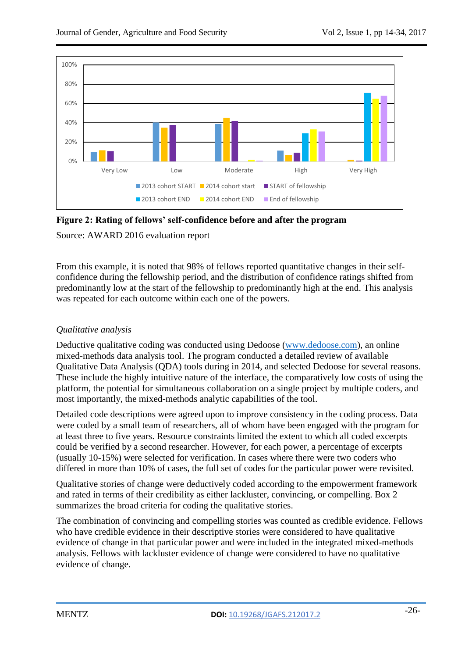

**Figure 2: Rating of fellows' self-confidence before and after the program**

Source: AWARD 2016 evaluation report

From this example, it is noted that 98% of fellows reported quantitative changes in their selfconfidence during the fellowship period, and the distribution of confidence ratings shifted from predominantly low at the start of the fellowship to predominantly high at the end. This analysis was repeated for each outcome within each one of the powers.

# *Qualitative analysis*

Deductive qualitative coding was conducted using Dedoose [\(www.dedoose.com\)](http://www.dedoose.com/), an online mixed-methods data analysis tool. The program conducted a detailed review of available Qualitative Data Analysis (QDA) tools during in 2014, and selected Dedoose for several reasons. These include the highly intuitive nature of the interface, the comparatively low costs of using the platform, the potential for simultaneous collaboration on a single project by multiple coders, and most importantly, the mixed-methods analytic capabilities of the tool.

Detailed code descriptions were agreed upon to improve consistency in the coding process. Data were coded by a small team of researchers, all of whom have been engaged with the program for at least three to five years. Resource constraints limited the extent to which all coded excerpts could be verified by a second researcher. However, for each power, a percentage of excerpts (usually 10-15%) were selected for verification. In cases where there were two coders who differed in more than 10% of cases, the full set of codes for the particular power were revisited.

Qualitative stories of change were deductively coded according to the empowerment framework and rated in terms of their credibility as either lackluster, convincing, or compelling. Box 2 summarizes the broad criteria for coding the qualitative stories.

The combination of convincing and compelling stories was counted as credible evidence. Fellows who have credible evidence in their descriptive stories were considered to have qualitative evidence of change in that particular power and were included in the integrated mixed-methods analysis. Fellows with lackluster evidence of change were considered to have no qualitative evidence of change.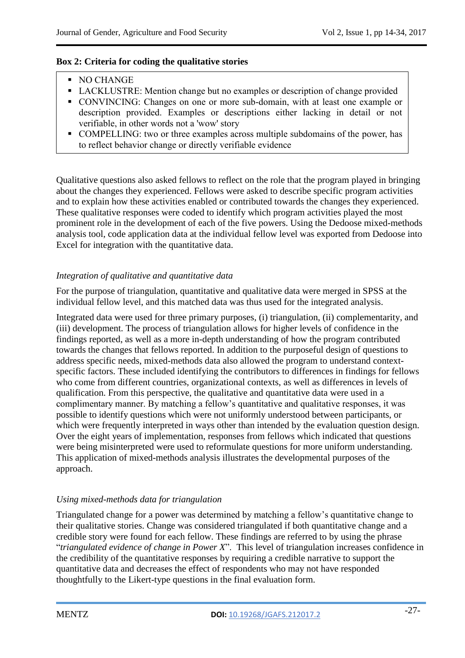## **Box 2: Criteria for coding the qualitative stories**

- NO CHANGE
- LACKLUSTRE: Mention change but no examples or description of change provided
- CONVINCING: Changes on one or more sub-domain, with at least one example or description provided. Examples or descriptions either lacking in detail or not verifiable, in other words not a 'wow' story
- COMPELLING: two or three examples across multiple subdomains of the power, has to reflect behavior change or directly verifiable evidence

Qualitative questions also asked fellows to reflect on the role that the program played in bringing about the changes they experienced. Fellows were asked to describe specific program activities and to explain how these activities enabled or contributed towards the changes they experienced. These qualitative responses were coded to identify which program activities played the most prominent role in the development of each of the five powers. Using the Dedoose mixed-methods analysis tool, code application data at the individual fellow level was exported from Dedoose into Excel for integration with the quantitative data.

# *Integration of qualitative and quantitative data*

For the purpose of triangulation, quantitative and qualitative data were merged in SPSS at the individual fellow level, and this matched data was thus used for the integrated analysis.

Integrated data were used for three primary purposes, (i) triangulation, (ii) complementarity, and (iii) development. The process of triangulation allows for higher levels of confidence in the findings reported, as well as a more in-depth understanding of how the program contributed towards the changes that fellows reported. In addition to the purposeful design of questions to address specific needs, mixed-methods data also allowed the program to understand contextspecific factors. These included identifying the contributors to differences in findings for fellows who come from different countries, organizational contexts, as well as differences in levels of qualification. From this perspective, the qualitative and quantitative data were used in a complimentary manner. By matching a fellow"s quantitative and qualitative responses, it was possible to identify questions which were not uniformly understood between participants, or which were frequently interpreted in ways other than intended by the evaluation question design. Over the eight years of implementation, responses from fellows which indicated that questions were being misinterpreted were used to reformulate questions for more uniform understanding. This application of mixed-methods analysis illustrates the developmental purposes of the approach.

# *Using mixed-methods data for triangulation*

Triangulated change for a power was determined by matching a fellow"s quantitative change to their qualitative stories. Change was considered triangulated if both quantitative change and a credible story were found for each fellow. These findings are referred to by using the phrase "*triangulated evidence of change in Power X*". This level of triangulation increases confidence in the credibility of the quantitative responses by requiring a credible narrative to support the quantitative data and decreases the effect of respondents who may not have responded thoughtfully to the Likert-type questions in the final evaluation form.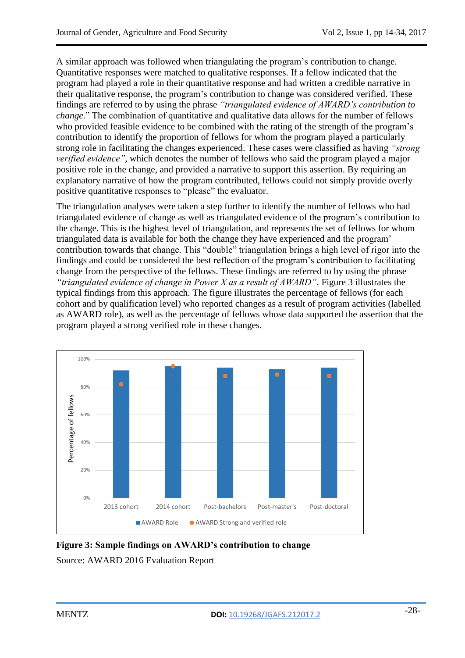A similar approach was followed when triangulating the program"s contribution to change. Quantitative responses were matched to qualitative responses. If a fellow indicated that the program had played a role in their quantitative response and had written a credible narrative in their qualitative response, the program"s contribution to change was considered verified. These findings are referred to by using the phrase *"triangulated evidence of AWARD"s contribution to change.*" The combination of quantitative and qualitative data allows for the number of fellows who provided feasible evidence to be combined with the rating of the strength of the program's contribution to identify the proportion of fellows for whom the program played a particularly strong role in facilitating the changes experienced. These cases were classified as having *"strong verified evidence"*, which denotes the number of fellows who said the program played a major positive role in the change, and provided a narrative to support this assertion. By requiring an explanatory narrative of how the program contributed, fellows could not simply provide overly positive quantitative responses to "please" the evaluator.

The triangulation analyses were taken a step further to identify the number of fellows who had triangulated evidence of change as well as triangulated evidence of the program"s contribution to the change. This is the highest level of triangulation, and represents the set of fellows for whom triangulated data is available for both the change they have experienced and the program" contribution towards that change. This "double" triangulation brings a high level of rigor into the findings and could be considered the best reflection of the program"s contribution to facilitating change from the perspective of the fellows. These findings are referred to by using the phrase *"triangulated evidence of change in Power X as a result of AWARD"*. Figure 3 illustrates the typical findings from this approach. The figure illustrates the percentage of fellows (for each cohort and by qualification level) who reported changes as a result of program activities (labelled as AWARD role), as well as the percentage of fellows whose data supported the assertion that the program played a strong verified role in these changes.



**Figure 3: Sample findings on AWARD's contribution to change**  Source: AWARD 2016 Evaluation Report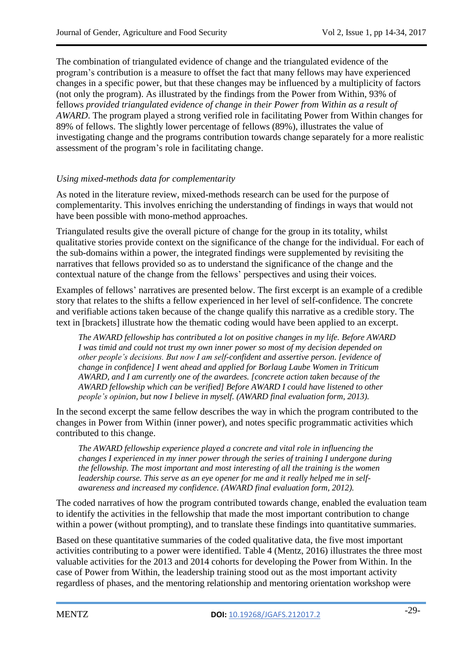The combination of triangulated evidence of change and the triangulated evidence of the program"s contribution is a measure to offset the fact that many fellows may have experienced changes in a specific power, but that these changes may be influenced by a multiplicity of factors (not only the program). As illustrated by the findings from the Power from Within, 93% of fellows *provided triangulated evidence of change in their Power from Within as a result of AWARD*. The program played a strong verified role in facilitating Power from Within changes for 89% of fellows. The slightly lower percentage of fellows (89%), illustrates the value of investigating change and the programs contribution towards change separately for a more realistic assessment of the program"s role in facilitating change.

# *Using mixed-methods data for complementarity*

As noted in the literature review, mixed-methods research can be used for the purpose of complementarity. This involves enriching the understanding of findings in ways that would not have been possible with mono-method approaches.

Triangulated results give the overall picture of change for the group in its totality, whilst qualitative stories provide context on the significance of the change for the individual. For each of the sub-domains within a power, the integrated findings were supplemented by revisiting the narratives that fellows provided so as to understand the significance of the change and the contextual nature of the change from the fellows" perspectives and using their voices.

Examples of fellows" narratives are presented below. The first excerpt is an example of a credible story that relates to the shifts a fellow experienced in her level of self-confidence. The concrete and verifiable actions taken because of the change qualify this narrative as a credible story. The text in [brackets] illustrate how the thematic coding would have been applied to an excerpt.

*The AWARD fellowship has contributed a lot on positive changes in my life. Before AWARD I was timid and could not trust my own inner power so most of my decision depended on other people"s decisions. But now I am self-confident and assertive person. [evidence of change in confidence] I went ahead and applied for Borlaug Laube Women in Triticum AWARD, and I am currently one of the awardees. [concrete action taken because of the AWARD fellowship which can be verified] Before AWARD I could have listened to other people"s opinion, but now I believe in myself. (AWARD final evaluation form, 2013).*

In the second excerpt the same fellow describes the way in which the program contributed to the changes in Power from Within (inner power), and notes specific programmatic activities which contributed to this change.

*The AWARD fellowship experience played a concrete and vital role in influencing the changes I experienced in my inner power through the series of training I undergone during the fellowship. The most important and most interesting of all the training is the women leadership course. This serve as an eye opener for me and it really helped me in selfawareness and increased my confidence. (AWARD final evaluation form, 2012).*

The coded narratives of how the program contributed towards change, enabled the evaluation team to identify the activities in the fellowship that made the most important contribution to change within a power (without prompting), and to translate these findings into quantitative summaries.

Based on these quantitative summaries of the coded qualitative data, the five most important activities contributing to a power were identified. Table 4 (Mentz, 2016) illustrates the three most valuable activities for the 2013 and 2014 cohorts for developing the Power from Within. In the case of Power from Within, the leadership training stood out as the most important activity regardless of phases, and the mentoring relationship and mentoring orientation workshop were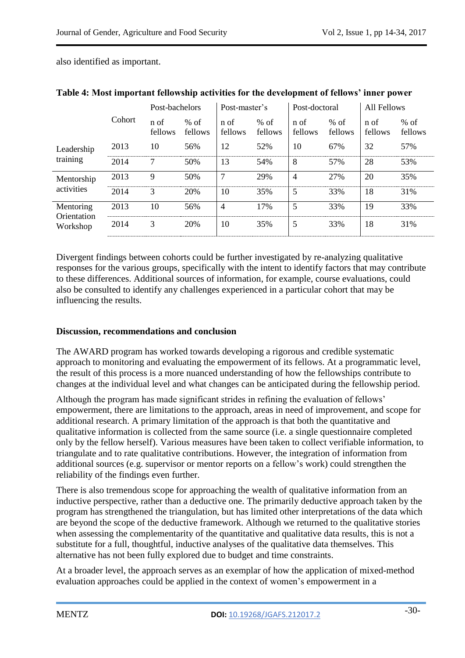also identified as important.

|                                      | Cohort | Post-bachelors  |                   | Post-master's   |                   | Post-doctoral   |                   | <b>All Fellows</b> |                   |
|--------------------------------------|--------|-----------------|-------------------|-----------------|-------------------|-----------------|-------------------|--------------------|-------------------|
|                                      |        | n of<br>fellows | $%$ of<br>fellows | n of<br>fellows | $%$ of<br>fellows | n of<br>fellows | $%$ of<br>fellows | n of<br>fellows    | $%$ of<br>fellows |
| Leadership<br>training               | 2013   | 10              | 56%               | 12              | 52%               | 10              | 67%               | 32                 | 57%               |
|                                      | 2014   | 7               | 50%               | 13              | 54%               | 8               | 57%               | 28                 | 53%               |
| Mentorship<br>activities             | 2013   | 9               | 50%               | 7               | 29%               | 4               | 27%               | 20                 | 35%               |
|                                      | 2014   | 3               | 20%               | 10              | 35%               | 5               | 33%               | 18                 | 31%               |
| Mentoring<br>Orientation<br>Workshop | 2013   | 10              | 56%               | $\overline{4}$  | 17%               | 5               | 33%               | 19                 | 33%               |
|                                      | 2014   | 3               | 20%               | 10              | 35%               | 5               | 33%               | 18                 | 31%               |

**Table 4: Most important fellowship activities for the development of fellows' inner power**

Divergent findings between cohorts could be further investigated by re-analyzing qualitative responses for the various groups, specifically with the intent to identify factors that may contribute to these differences. Additional sources of information, for example, course evaluations, could also be consulted to identify any challenges experienced in a particular cohort that may be influencing the results.

# **Discussion, recommendations and conclusion**

The AWARD program has worked towards developing a rigorous and credible systematic approach to monitoring and evaluating the empowerment of its fellows. At a programmatic level, the result of this process is a more nuanced understanding of how the fellowships contribute to changes at the individual level and what changes can be anticipated during the fellowship period.

Although the program has made significant strides in refining the evaluation of fellows' empowerment, there are limitations to the approach, areas in need of improvement, and scope for additional research. A primary limitation of the approach is that both the quantitative and qualitative information is collected from the same source (i.e. a single questionnaire completed only by the fellow herself). Various measures have been taken to collect verifiable information, to triangulate and to rate qualitative contributions. However, the integration of information from additional sources (e.g. supervisor or mentor reports on a fellow"s work) could strengthen the reliability of the findings even further.

There is also tremendous scope for approaching the wealth of qualitative information from an inductive perspective, rather than a deductive one. The primarily deductive approach taken by the program has strengthened the triangulation, but has limited other interpretations of the data which are beyond the scope of the deductive framework. Although we returned to the qualitative stories when assessing the complementarity of the quantitative and qualitative data results, this is not a substitute for a full, thoughtful, inductive analyses of the qualitative data themselves. This alternative has not been fully explored due to budget and time constraints.

At a broader level, the approach serves as an exemplar of how the application of mixed-method evaluation approaches could be applied in the context of women"s empowerment in a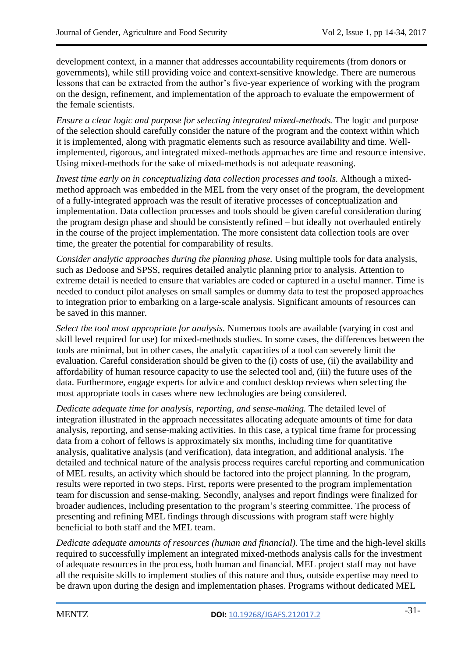development context, in a manner that addresses accountability requirements (from donors or governments), while still providing voice and context-sensitive knowledge. There are numerous lessons that can be extracted from the author's five-year experience of working with the program on the design, refinement, and implementation of the approach to evaluate the empowerment of the female scientists.

*Ensure a clear logic and purpose for selecting integrated mixed-methods.* The logic and purpose of the selection should carefully consider the nature of the program and the context within which it is implemented, along with pragmatic elements such as resource availability and time. Wellimplemented, rigorous, and integrated mixed-methods approaches are time and resource intensive. Using mixed-methods for the sake of mixed-methods is not adequate reasoning.

*Invest time early on in conceptualizing data collection processes and tools.* Although a mixedmethod approach was embedded in the MEL from the very onset of the program, the development of a fully-integrated approach was the result of iterative processes of conceptualization and implementation. Data collection processes and tools should be given careful consideration during the program design phase and should be consistently refined – but ideally not overhauled entirely in the course of the project implementation. The more consistent data collection tools are over time, the greater the potential for comparability of results.

*Consider analytic approaches during the planning phase.* Using multiple tools for data analysis, such as Dedoose and SPSS, requires detailed analytic planning prior to analysis. Attention to extreme detail is needed to ensure that variables are coded or captured in a useful manner. Time is needed to conduct pilot analyses on small samples or dummy data to test the proposed approaches to integration prior to embarking on a large-scale analysis. Significant amounts of resources can be saved in this manner.

*Select the tool most appropriate for analysis.* Numerous tools are available (varying in cost and skill level required for use) for mixed-methods studies. In some cases, the differences between the tools are minimal, but in other cases, the analytic capacities of a tool can severely limit the evaluation. Careful consideration should be given to the (i) costs of use, (ii) the availability and affordability of human resource capacity to use the selected tool and, (iii) the future uses of the data. Furthermore, engage experts for advice and conduct desktop reviews when selecting the most appropriate tools in cases where new technologies are being considered.

*Dedicate adequate time for analysis, reporting, and sense-making.* The detailed level of integration illustrated in the approach necessitates allocating adequate amounts of time for data analysis, reporting, and sense-making activities. In this case, a typical time frame for processing data from a cohort of fellows is approximately six months, including time for quantitative analysis, qualitative analysis (and verification), data integration, and additional analysis. The detailed and technical nature of the analysis process requires careful reporting and communication of MEL results, an activity which should be factored into the project planning. In the program, results were reported in two steps. First, reports were presented to the program implementation team for discussion and sense-making. Secondly, analyses and report findings were finalized for broader audiences, including presentation to the program"s steering committee. The process of presenting and refining MEL findings through discussions with program staff were highly beneficial to both staff and the MEL team.

*Dedicate adequate amounts of resources (human and financial).* The time and the high-level skills required to successfully implement an integrated mixed-methods analysis calls for the investment of adequate resources in the process, both human and financial. MEL project staff may not have all the requisite skills to implement studies of this nature and thus, outside expertise may need to be drawn upon during the design and implementation phases. Programs without dedicated MEL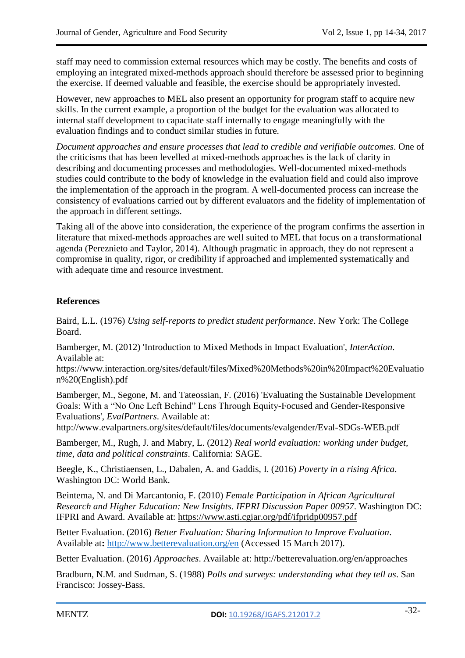staff may need to commission external resources which may be costly. The benefits and costs of employing an integrated mixed-methods approach should therefore be assessed prior to beginning the exercise. If deemed valuable and feasible, the exercise should be appropriately invested.

However, new approaches to MEL also present an opportunity for program staff to acquire new skills. In the current example, a proportion of the budget for the evaluation was allocated to internal staff development to capacitate staff internally to engage meaningfully with the evaluation findings and to conduct similar studies in future.

*Document approaches and ensure processes that lead to credible and verifiable outcomes.* One of the criticisms that has been levelled at mixed-methods approaches is the lack of clarity in describing and documenting processes and methodologies. Well-documented mixed-methods studies could contribute to the body of knowledge in the evaluation field and could also improve the implementation of the approach in the program. A well-documented process can increase the consistency of evaluations carried out by different evaluators and the fidelity of implementation of the approach in different settings.

Taking all of the above into consideration, the experience of the program confirms the assertion in literature that mixed-methods approaches are well suited to MEL that focus on a transformational agenda (Pereznieto and Taylor, 2014). Although pragmatic in approach, they do not represent a compromise in quality, rigor, or credibility if approached and implemented systematically and with adequate time and resource investment.

# **References**

Baird, L.L. (1976) *Using self-reports to predict student performance*. New York: The College Board.

Bamberger, M. (2012) 'Introduction to Mixed Methods in Impact Evaluation', *InterAction*. Available at:

https://www.interaction.org/sites/default/files/Mixed%20Methods%20in%20Impact%20Evaluatio n%20(English).pdf

Bamberger, M., Segone, M. and Tateossian, F. (2016) 'Evaluating the Sustainable Development Goals: With a "No One Left Behind" Lens Through Equity-Focused and Gender-Responsive Evaluations', *EvalPartners*. Available at:

http://www.evalpartners.org/sites/default/files/documents/evalgender/Eval-SDGs-WEB.pdf

Bamberger, M., Rugh, J. and Mabry, L. (2012) *Real world evaluation: working under budget, time, data and political constraints*. California: SAGE.

Beegle, K., Christiaensen, L., Dabalen, A. and Gaddis, I. (2016) *Poverty in a rising Africa*. Washington DC: World Bank.

Beintema, N. and Di Marcantonio, F. (2010) *Female Participation in African Agricultural Research and Higher Education: New Insights*. *IFPRI Discussion Paper 00957*. Washington DC: IFPRI and Award. Available at: <https://www.asti.cgiar.org/pdf/ifpridp00957.pdf>

Better Evaluation. (2016) *Better Evaluation: Sharing Information to Improve Evaluation*. Available at**:** <http://www.betterevaluation.org/en> (Accessed 15 March 2017).

Better Evaluation. (2016) *Approaches*. Available at: http://betterevaluation.org/en/approaches

Bradburn, N.M. and Sudman, S. (1988) *Polls and surveys: understanding what they tell us*. San Francisco: Jossey-Bass.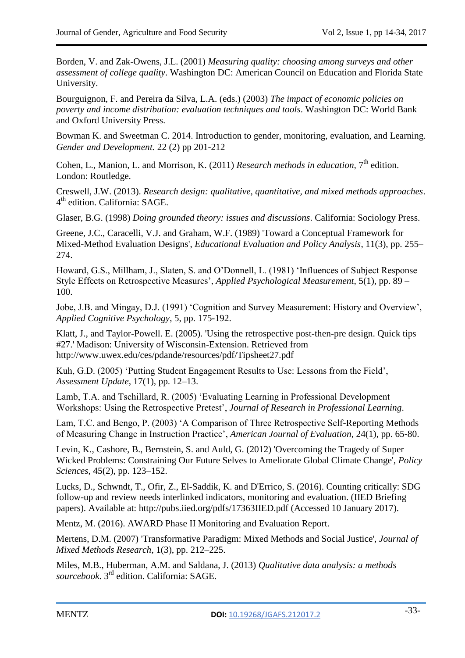Borden, V. and Zak-Owens, J.L. (2001) *Measuring quality: choosing among surveys and other assessment of college quality*. Washington DC: American Council on Education and Florida State University.

Bourguignon, F. and Pereira da Silva, L.A. (eds.) (2003) *The impact of economic policies on poverty and income distribution: evaluation techniques and tools*. Washington DC: World Bank and Oxford University Press.

Bowman K. and Sweetman C. 2014. Introduction to gender, monitoring, evaluation, and Learning. *Gender and Development.* 22 (2) pp 201-212

Cohen, L., Manion, L. and Morrison, K. (2011) *Research methods in education*, 7<sup>th</sup> edition. London: Routledge.

Creswell, J.W. (2013). *Research design: qualitative, quantitative, and mixed methods approaches*. 4<sup>th</sup> edition. California: SAGE.

Glaser, B.G. (1998) *Doing grounded theory: issues and discussions*. California: Sociology Press.

Greene, J.C., Caracelli, V.J. and Graham, W.F. (1989) 'Toward a Conceptual Framework for Mixed-Method Evaluation Designs', *Educational Evaluation and Policy Analysis*, 11(3), pp. 255– 274.

Howard, G.S., Millham, J., Slaten, S. and O"Donnell, L. (1981) "Influences of Subject Response Style Effects on Retrospective Measures", *Applied Psychological Measurement*, 5(1), pp. 89 – 100.

Jobe, J.B. and Mingay, D.J. (1991) "Cognition and Survey Measurement: History and Overview", *Applied Cognitive Psychology*, 5, pp. 175-192.

Klatt, J., and Taylor-Powell. E. (2005). 'Using the retrospective post-then-pre design. Quick tips #27.' Madison: University of Wisconsin-Extension. Retrieved from http://www.uwex.edu/ces/pdande/resources/pdf/Tipsheet27.pdf

Kuh, G.D. (2005) "Putting Student Engagement Results to Use: Lessons from the Field", *Assessment Update*, 17(1), pp. 12–13.

Lamb, T.A. and Tschillard, R. (2005) "Evaluating Learning in Professional Development Workshops: Using the Retrospective Pretest", *Journal of Research in Professional Learning*.

Lam, T.C. and Bengo, P. (2003) "A Comparison of Three Retrospective Self-Reporting Methods of Measuring Change in Instruction Practice", *American Journal of Evaluation*, 24(1), pp. 65-80.

Levin, K., Cashore, B., Bernstein, S. and Auld, G. (2012) 'Overcoming the Tragedy of Super Wicked Problems: Constraining Our Future Selves to Ameliorate Global Climate Change', *Policy Sciences*, 45(2), pp. 123–152.

Lucks, D., Schwndt, T., Ofir, Z., El-Saddik, K. and D'Errico, S. (2016). Counting critically: SDG follow-up and review needs interlinked indicators, monitoring and evaluation. (IIED Briefing papers). Available at: http://pubs.iied.org/pdfs/17363IIED.pdf (Accessed 10 January 2017).

Mentz, M. (2016). AWARD Phase II Monitoring and Evaluation Report.

Mertens, D.M. (2007) 'Transformative Paradigm: Mixed Methods and Social Justice', *Journal of Mixed Methods Research*, 1(3), pp. 212–225.

Miles, M.B., Huberman, A.M. and Saldana, J. (2013) *Qualitative data analysis: a methods sourcebook*. 3rd edition. California: SAGE.